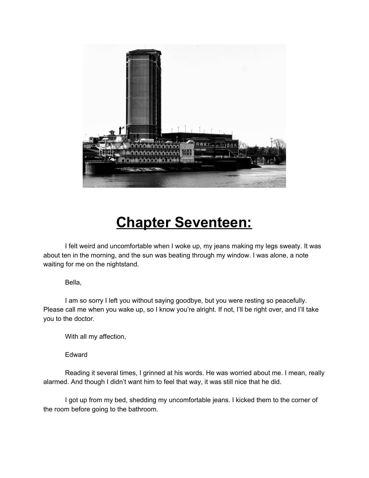

## **Chapter Seventeen:**

I felt weird and uncomfortable when I woke up, my jeans making my legs sweaty. It was about ten in the morning, and the sun was beating through my window. I was alone, a note waiting for me on the nightstand.

## Bella,

I am so sorry I left you without saying goodbye, but you were resting so peacefully. Please call me when you wake up, so I know you're alright. If not, I'll be right over, and I'll take you to the doctor.

With all my affection,

Edward

Reading it several times, I grinned at his words. He was worried about me. I mean, really alarmed. And though I didn't want him to feel that way, it was still nice that he did.

I got up from my bed, shedding my uncomfortable jeans. I kicked them to the corner of the room before going to the bathroom.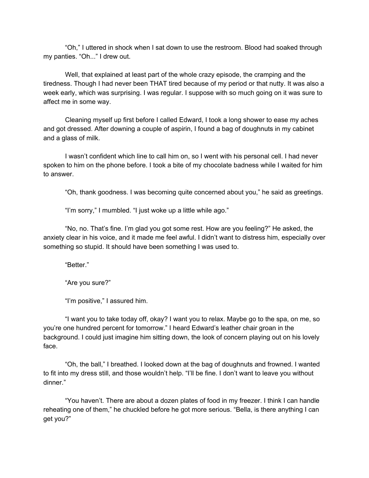"Oh," I uttered in shock when I sat down to use the restroom. Blood had soaked through my panties. "Oh..." I drew out.

Well, that explained at least part of the whole crazy episode, the cramping and the tiredness. Though I had never been THAT tired because of my period or that nutty. It was also a week early, which was surprising. I was regular. I suppose with so much going on it was sure to affect me in some way.

Cleaning myself up first before I called Edward, I took a long shower to ease my aches and got dressed. After downing a couple of aspirin, I found a bag of doughnuts in my cabinet and a glass of milk.

I wasn't confident which line to call him on, so I went with his personal cell. I had never spoken to him on the phone before. I took a bite of my chocolate badness while I waited for him to answer.

"Oh, thank goodness. I was becoming quite concerned about you," he said as greetings.

"I'm sorry," I mumbled. "I just woke up a little while ago."

"No, no. That's fine. I'm glad you got some rest. How are you feeling?" He asked, the anxiety clear in his voice, and it made me feel awful. I didn't want to distress him, especially over something so stupid. It should have been something I was used to.

"Better."

"Are you sure?"

"I'm positive," I assured him.

"I want you to take today off, okay? I want you to relax. Maybe go to the spa, on me, so you're one hundred percent for tomorrow." I heard Edward's leather chair groan in the background. I could just imagine him sitting down, the look of concern playing out on his lovely face.

"Oh, the ball," I breathed. I looked down at the bag of doughnuts and frowned. I wanted to fit into my dress still, and those wouldn't help. "I'll be fine. I don't want to leave you without dinner."

"You haven't. There are about a dozen plates of food in my freezer. I think I can handle reheating one of them," he chuckled before he got more serious. "Bella, is there anything I can get you?"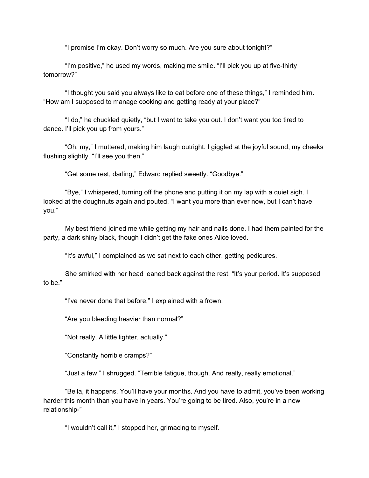"I promise I'm okay. Don't worry so much. Are you sure about tonight?"

"I'm positive," he used my words, making me smile. "I'll pick you up at five-thirty tomorrow?"

"I thought you said you always like to eat before one of these things," I reminded him. "How am I supposed to manage cooking and getting ready at your place?"

"I do," he chuckled quietly, "but I want to take you out. I don't want you too tired to dance. I'll pick you up from yours."

"Oh, my," I muttered, making him laugh outright. I giggled at the joyful sound, my cheeks flushing slightly. "I'll see you then."

"Get some rest, darling," Edward replied sweetly. "Goodbye."

"Bye," I whispered, turning off the phone and putting it on my lap with a quiet sigh. I looked at the doughnuts again and pouted. "I want you more than ever now, but I can't have you."

My best friend joined me while getting my hair and nails done. I had them painted for the party, a dark shiny black, though I didn't get the fake ones Alice loved.

"It's awful," I complained as we sat next to each other, getting pedicures.

She smirked with her head leaned back against the rest. "It's your period. It's supposed to be."

"I've never done that before," I explained with a frown.

"Are you bleeding heavier than normal?"

"Not really. A little lighter, actually."

"Constantly horrible cramps?"

"Just a few." I shrugged. "Terrible fatigue, though. And really, really emotional."

"Bella, it happens. You'll have your months. And you have to admit, you've been working harder this month than you have in years. You're going to be tired. Also, you're in a new relationship-"

"I wouldn't call it," I stopped her, grimacing to myself.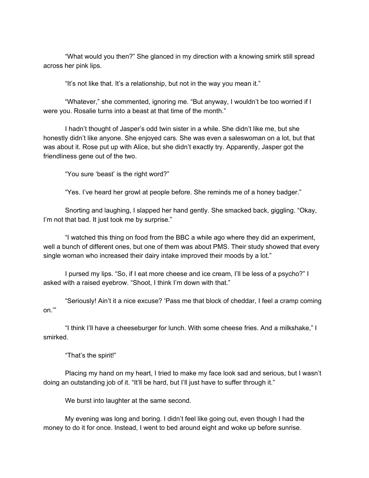"What would you then?" She glanced in my direction with a knowing smirk still spread across her pink lips.

"It's not like that. It's a relationship, but not in the way you mean it."

"Whatever," she commented, ignoring me. "But anyway, I wouldn't be too worried if I were you. Rosalie turns into a beast at that time of the month."

I hadn't thought of Jasper's odd twin sister in a while. She didn't like me, but she honestly didn't like anyone. She enjoyed cars. She was even a saleswoman on a lot, but that was about it. Rose put up with Alice, but she didn't exactly try. Apparently, Jasper got the friendliness gene out of the two.

"You sure 'beast' is the right word?"

"Yes. I've heard her growl at people before. She reminds me of a honey badger."

Snorting and laughing, I slapped her hand gently. She smacked back, giggling. "Okay, I'm not that bad. It just took me by surprise."

"I watched this thing on food from the BBC a while ago where they did an experiment, well a bunch of different ones, but one of them was about PMS. Their study showed that every single woman who increased their dairy intake improved their moods by a lot."

I pursed my lips. "So, if I eat more cheese and ice cream, I'll be less of a psycho?" I asked with a raised eyebrow. "Shoot, I think I'm down with that."

"Seriously! Ain't it a nice excuse? 'Pass me that block of cheddar, I feel a cramp coming on.'"

"I think I'll have a cheeseburger for lunch. With some cheese fries. And a milkshake," I smirked.

"That's the spirit!"

Placing my hand on my heart, I tried to make my face look sad and serious, but I wasn't doing an outstanding job of it. "It'll be hard, but I'll just have to suffer through it."

We burst into laughter at the same second.

My evening was long and boring. I didn't feel like going out, even though I had the money to do it for once. Instead, I went to bed around eight and woke up before sunrise.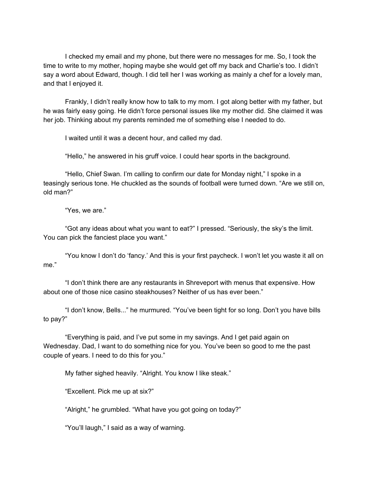I checked my email and my phone, but there were no messages for me. So, I took the time to write to my mother, hoping maybe she would get off my back and Charlie's too. I didn't say a word about Edward, though. I did tell her I was working as mainly a chef for a lovely man, and that I enjoyed it.

Frankly, I didn't really know how to talk to my mom. I got along better with my father, but he was fairly easy going. He didn't force personal issues like my mother did. She claimed it was her job. Thinking about my parents reminded me of something else I needed to do.

I waited until it was a decent hour, and called my dad.

"Hello," he answered in his gruff voice. I could hear sports in the background.

"Hello, Chief Swan. I'm calling to confirm our date for Monday night," I spoke in a teasingly serious tone. He chuckled as the sounds of football were turned down. "Are we still on, old man?"

"Yes, we are."

"Got any ideas about what you want to eat?" I pressed. "Seriously, the sky's the limit. You can pick the fanciest place you want."

"You know I don't do 'fancy.' And this is your first paycheck. I won't let you waste it all on me."

"I don't think there are any restaurants in Shreveport with menus that expensive. How about one of those nice casino steakhouses? Neither of us has ever been."

"I don't know, Bells..." he murmured. "You've been tight for so long. Don't you have bills to pay?"

"Everything is paid, and I've put some in my savings. And I get paid again on Wednesday. Dad, I want to do something nice for you. You've been so good to me the past couple of years. I need to do this for you."

My father sighed heavily. "Alright. You know I like steak."

"Excellent. Pick me up at six?"

"Alright," he grumbled. "What have you got going on today?"

"You'll laugh," I said as a way of warning.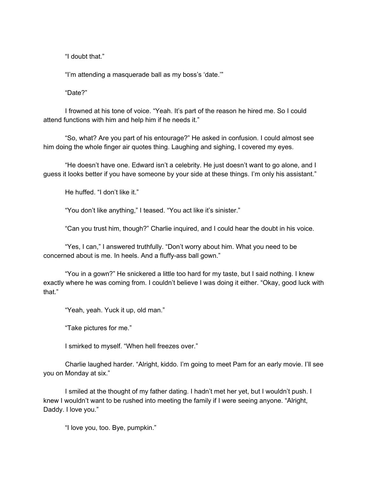"I doubt that."

"I'm attending a masquerade ball as my boss's 'date.'"

"Date?"

I frowned at his tone of voice. "Yeah. It's part of the reason he hired me. So I could attend functions with him and help him if he needs it."

"So, what? Are you part of his entourage?" He asked in confusion. I could almost see him doing the whole finger air quotes thing. Laughing and sighing, I covered my eyes.

"He doesn't have one. Edward isn't a celebrity. He just doesn't want to go alone, and I guess it looks better if you have someone by your side at these things. I'm only his assistant."

He huffed. "I don't like it."

"You don't like anything," I teased. "You act like it's sinister."

"Can you trust him, though?" Charlie inquired, and I could hear the doubt in his voice.

"Yes, I can," I answered truthfully. "Don't worry about him. What you need to be concerned about is me. In heels. And a fluffy-ass ball gown."

"You in a gown?" He snickered a little too hard for my taste, but I said nothing. I knew exactly where he was coming from. I couldn't believe I was doing it either. "Okay, good luck with that."

"Yeah, yeah. Yuck it up, old man."

"Take pictures for me."

I smirked to myself. "When hell freezes over."

Charlie laughed harder. "Alright, kiddo. I'm going to meet Pam for an early movie. I'll see you on Monday at six."

I smiled at the thought of my father dating. I hadn't met her yet, but I wouldn't push. I knew I wouldn't want to be rushed into meeting the family if I were seeing anyone. "Alright, Daddy. I love you."

"I love you, too. Bye, pumpkin."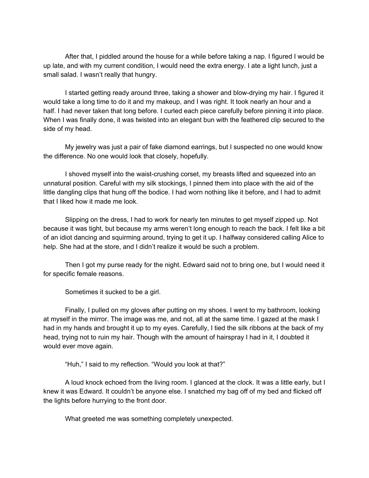After that, I piddled around the house for a while before taking a nap. I figured I would be up late, and with my current condition, I would need the extra energy. I ate a light lunch, just a small salad. I wasn't really that hungry.

I started getting ready around three, taking a shower and blow-drying my hair. I figured it would take a long time to do it and my makeup, and I was right. It took nearly an hour and a half. I had never taken that long before. I curled each piece carefully before pinning it into place. When I was finally done, it was twisted into an elegant bun with the feathered clip secured to the side of my head.

My jewelry was just a pair of fake diamond earrings, but I suspected no one would know the difference. No one would look that closely, hopefully.

I shoved myself into the waist-crushing corset, my breasts lifted and squeezed into an unnatural position. Careful with my silk stockings, I pinned them into place with the aid of the little dangling clips that hung off the bodice. I had worn nothing like it before, and I had to admit that I liked how it made me look.

Slipping on the dress, I had to work for nearly ten minutes to get myself zipped up. Not because it was tight, but because my arms weren't long enough to reach the back. I felt like a bit of an idiot dancing and squirming around, trying to get it up. I halfway considered calling Alice to help. She had at the store, and I didn't realize it would be such a problem.

Then I got my purse ready for the night. Edward said not to bring one, but I would need it for specific female reasons.

Sometimes it sucked to be a girl.

Finally, I pulled on my gloves after putting on my shoes. I went to my bathroom, looking at myself in the mirror. The image was me, and not, all at the same time. I gazed at the mask I had in my hands and brought it up to my eyes. Carefully, I tied the silk ribbons at the back of my head, trying not to ruin my hair. Though with the amount of hairspray I had in it, I doubted it would ever move again.

"Huh," I said to my reflection. "Would you look at that?"

A loud knock echoed from the living room. I glanced at the clock. It was a little early, but I knew it was Edward. It couldn't be anyone else. I snatched my bag off of my bed and flicked off the lights before hurrying to the front door.

What greeted me was something completely unexpected.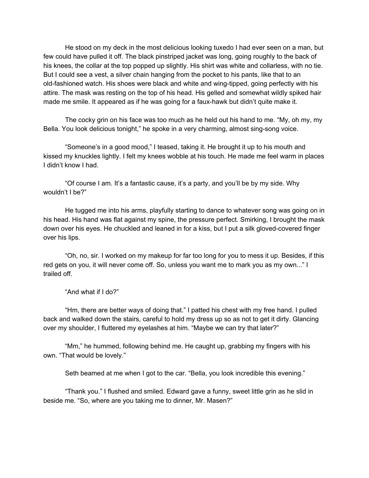He stood on my deck in the most delicious looking tuxedo I had ever seen on a man, but few could have pulled it off. The black pinstriped jacket was long, going roughly to the back of his knees, the collar at the top popped up slightly. His shirt was white and collarless, with no tie. But I could see a vest, a silver chain hanging from the pocket to his pants, like that to an old-fashioned watch. His shoes were black and white and wing-tipped, going perfectly with his attire. The mask was resting on the top of his head. His gelled and somewhat wildly spiked hair made me smile. It appeared as if he was going for a faux-hawk but didn't quite make it.

The cocky grin on his face was too much as he held out his hand to me. "My, oh my, my Bella. You look delicious tonight," he spoke in a very charming, almost sing-song voice.

"Someone's in a good mood," I teased, taking it. He brought it up to his mouth and kissed my knuckles lightly. I felt my knees wobble at his touch. He made me feel warm in places I didn't know I had.

"Of course I am. It's a fantastic cause, it's a party, and you'll be by my side. Why wouldn't I be?"

He tugged me into his arms, playfully starting to dance to whatever song was going on in his head. His hand was flat against my spine, the pressure perfect. Smirking, I brought the mask down over his eyes. He chuckled and leaned in for a kiss, but I put a silk gloved-covered finger over his lips.

"Oh, no, sir. I worked on my makeup for far too long for you to mess it up. Besides, if this red gets on you, it will never come off. So, unless you want me to mark you as my own..." I trailed off.

"And what if I do?"

"Hm, there are better ways of doing that." I patted his chest with my free hand. I pulled back and walked down the stairs, careful to hold my dress up so as not to get it dirty. Glancing over my shoulder, I fluttered my eyelashes at him. "Maybe we can try that later?"

"Mm," he hummed, following behind me. He caught up, grabbing my fingers with his own. "That would be lovely."

Seth beamed at me when I got to the car. "Bella, you look incredible this evening."

"Thank you." I flushed and smiled. Edward gave a funny, sweet little grin as he slid in beside me. "So, where are you taking me to dinner, Mr. Masen?"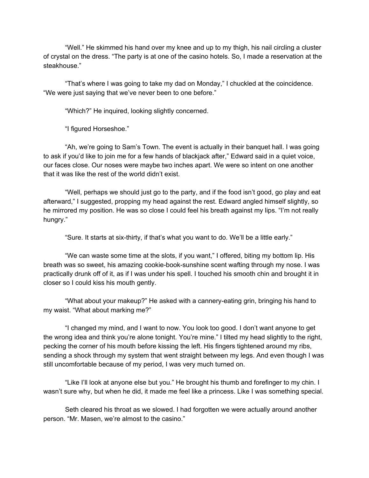"Well." He skimmed his hand over my knee and up to my thigh, his nail circling a cluster of crystal on the dress. "The party is at one of the casino hotels. So, I made a reservation at the steakhouse."

"That's where I was going to take my dad on Monday," I chuckled at the coincidence. "We were just saying that we've never been to one before."

"Which?" He inquired, looking slightly concerned.

"I figured Horseshoe."

"Ah, we're going to Sam's Town. The event is actually in their banquet hall. I was going to ask if you'd like to join me for a few hands of blackjack after," Edward said in a quiet voice, our faces close. Our noses were maybe two inches apart. We were so intent on one another that it was like the rest of the world didn't exist.

"Well, perhaps we should just go to the party, and if the food isn't good, go play and eat afterward," I suggested, propping my head against the rest. Edward angled himself slightly, so he mirrored my position. He was so close I could feel his breath against my lips. "I'm not really hungry."

"Sure. It starts at six-thirty, if that's what you want to do. We'll be a little early."

"We can waste some time at the slots, if you want," I offered, biting my bottom lip. His breath was so sweet, his amazing cookie-book-sunshine scent wafting through my nose. I was practically drunk off of it, as if I was under his spell. I touched his smooth chin and brought it in closer so I could kiss his mouth gently.

"What about your makeup?" He asked with a cannery-eating grin, bringing his hand to my waist. "What about marking me?"

"I changed my mind, and I want to now. You look too good. I don't want anyone to get the wrong idea and think you're alone tonight. You're mine." I tilted my head slightly to the right, pecking the corner of his mouth before kissing the left. His fingers tightened around my ribs, sending a shock through my system that went straight between my legs. And even though I was still uncomfortable because of my period, I was very much turned on.

"Like I'll look at anyone else but you." He brought his thumb and forefinger to my chin. I wasn't sure why, but when he did, it made me feel like a princess. Like I was something special.

Seth cleared his throat as we slowed. I had forgotten we were actually around another person. "Mr. Masen, we're almost to the casino."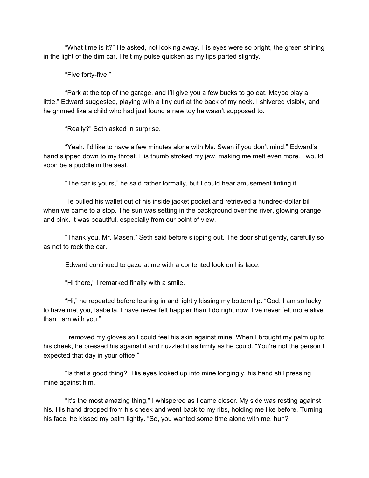"What time is it?" He asked, not looking away. His eyes were so bright, the green shining in the light of the dim car. I felt my pulse quicken as my lips parted slightly.

"Five forty-five."

"Park at the top of the garage, and I'll give you a few bucks to go eat. Maybe play a little," Edward suggested, playing with a tiny curl at the back of my neck. I shivered visibly, and he grinned like a child who had just found a new toy he wasn't supposed to.

"Really?" Seth asked in surprise.

"Yeah. I'd like to have a few minutes alone with Ms. Swan if you don't mind." Edward's hand slipped down to my throat. His thumb stroked my jaw, making me melt even more. I would soon be a puddle in the seat.

"The car is yours," he said rather formally, but I could hear amusement tinting it.

He pulled his wallet out of his inside jacket pocket and retrieved a hundred-dollar bill when we came to a stop. The sun was setting in the background over the river, glowing orange and pink. It was beautiful, especially from our point of view.

"Thank you, Mr. Masen," Seth said before slipping out. The door shut gently, carefully so as not to rock the car.

Edward continued to gaze at me with a contented look on his face.

"Hi there," I remarked finally with a smile.

"Hi," he repeated before leaning in and lightly kissing my bottom lip. "God, I am so lucky to have met you, Isabella. I have never felt happier than I do right now. I've never felt more alive than I am with you."

I removed my gloves so I could feel his skin against mine. When I brought my palm up to his cheek, he pressed his against it and nuzzled it as firmly as he could. "You're not the person I expected that day in your office."

"Is that a good thing?" His eyes looked up into mine longingly, his hand still pressing mine against him.

"It's the most amazing thing," I whispered as I came closer. My side was resting against his. His hand dropped from his cheek and went back to my ribs, holding me like before. Turning his face, he kissed my palm lightly. "So, you wanted some time alone with me, huh?"